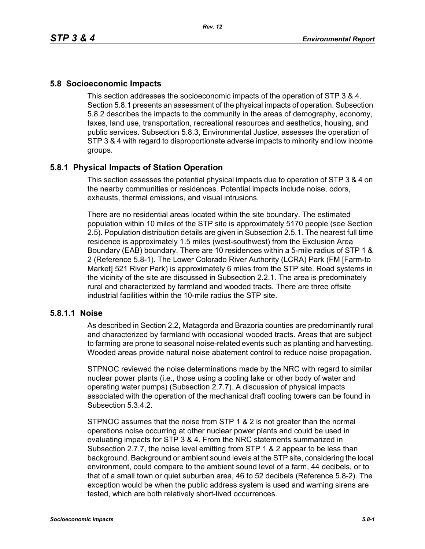# **5.8 Socioeconomic Impacts**

This section addresses the socioeconomic impacts of the operation of STP 3 & 4. Section 5.8.1 presents an assessment of the physical impacts of operation. Subsection 5.8.2 describes the impacts to the community in the areas of demography, economy, taxes, land use, transportation, recreational resources and aesthetics, housing, and public services. Subsection 5.8.3, Environmental Justice, assesses the operation of STP 3 & 4 with regard to disproportionate adverse impacts to minority and low income groups.

# **5.8.1 Physical Impacts of Station Operation**

This section assesses the potential physical impacts due to operation of STP 3 & 4 on the nearby communities or residences. Potential impacts include noise, odors, exhausts, thermal emissions, and visual intrusions.

There are no residential areas located within the site boundary. The estimated population within 10 miles of the STP site is approximately 5170 people (see Section 2.5). Population distribution details are given in Subsection 2.5.1. The nearest full time residence is approximately 1.5 miles (west-southwest) from the Exclusion Area Boundary (EAB) boundary. There are 10 residences within a 5-mile radius of STP 1 & 2 (Reference 5.8-1). The Lower Colorado River Authority (LCRA) Park (FM [Farm-to Market] 521 River Park) is approximately 6 miles from the STP site. Road systems in the vicinity of the site are discussed in Subsection 2.2.1. The area is predominately rural and characterized by farmland and wooded tracts. There are three offsite industrial facilities within the 10-mile radius the STP site.

### **5.8.1.1 Noise**

As described in Section 2.2, Matagorda and Brazoria counties are predominantly rural and characterized by farmland with occasional wooded tracts. Areas that are subject to farming are prone to seasonal noise-related events such as planting and harvesting. Wooded areas provide natural noise abatement control to reduce noise propagation.

STPNOC reviewed the noise determinations made by the NRC with regard to similar nuclear power plants (i.e., those using a cooling lake or other body of water and operating water pumps) (Subsection 2.7.7). A discussion of physical impacts associated with the operation of the mechanical draft cooling towers can be found in Subsection 5.3.4.2.

STPNOC assumes that the noise from STP 1 & 2 is not greater than the normal operations noise occurring at other nuclear power plants and could be used in evaluating impacts for STP 3 & 4. From the NRC statements summarized in Subsection 2.7.7, the noise level emitting from STP 1 & 2 appear to be less than background. Background or ambient sound levels at the STP site, considering the local environment, could compare to the ambient sound level of a farm, 44 decibels, or to that of a small town or quiet suburban area, 46 to 52 decibels (Reference 5.8-2). The exception would be when the public address system is used and warning sirens are tested, which are both relatively short-lived occurrences.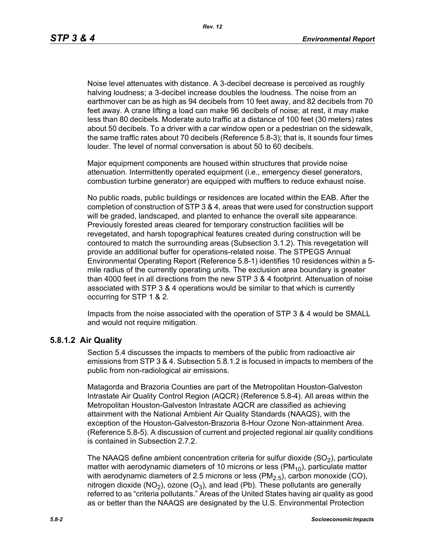Noise level attenuates with distance. A 3-decibel decrease is perceived as roughly halving loudness; a 3-decibel increase doubles the loudness. The noise from an earthmover can be as high as 94 decibels from 10 feet away, and 82 decibels from 70 feet away. A crane lifting a load can make 96 decibels of noise; at rest, it may make less than 80 decibels. Moderate auto traffic at a distance of 100 feet (30 meters) rates about 50 decibels. To a driver with a car window open or a pedestrian on the sidewalk, the same traffic rates about 70 decibels (Reference 5.8-3); that is, it sounds four times louder. The level of normal conversation is about 50 to 60 decibels.

Major equipment components are housed within structures that provide noise attenuation. Intermittently operated equipment (i.e., emergency diesel generators, combustion turbine generator) are equipped with mufflers to reduce exhaust noise.

No public roads, public buildings or residences are located within the EAB. After the completion of construction of STP 3 & 4, areas that were used for construction support will be graded, landscaped, and planted to enhance the overall site appearance. Previously forested areas cleared for temporary construction facilities will be revegetated, and harsh topographical features created during construction will be contoured to match the surrounding areas (Subsection 3.1.2). This revegetation will provide an additional buffer for operations-related noise. The STPEGS Annual Environmental Operating Report (Reference 5.8-1) identifies 10 residences within a 5 mile radius of the currently operating units. The exclusion area boundary is greater than 4000 feet in all directions from the new STP 3 & 4 footprint. Attenuation of noise associated with STP 3 & 4 operations would be similar to that which is currently occurring for STP 1 & 2.

Impacts from the noise associated with the operation of STP 3 & 4 would be SMALL and would not require mitigation.

### **5.8.1.2 Air Quality**

Section 5.4 discusses the impacts to members of the public from radioactive air emissions from STP 3 & 4. Subsection 5.8.1.2 is focused in impacts to members of the public from non-radiological air emissions.

Matagorda and Brazoria Counties are part of the Metropolitan Houston-Galveston Intrastate Air Quality Control Region (AQCR) (Reference 5.8-4). All areas within the Metropolitan Houston-Galveston Intrastate AQCR are classified as achieving attainment with the National Ambient Air Quality Standards (NAAQS), with the exception of the Houston-Galveston-Brazoria 8-Hour Ozone Non-attainment Area. (Reference 5.8-5). A discussion of current and projected regional air quality conditions is contained in Subsection 2.7.2.

The NAAQS define ambient concentration criteria for sulfur dioxide  $(SO<sub>2</sub>)$ , particulate matter with aerodynamic diameters of 10 microns or less ( $PM_{10}$ ), particulate matter with aerodynamic diameters of 2.5 microns or less  $(PM<sub>2.5</sub>)$ , carbon monoxide (CO), nitrogen dioxide (NO<sub>2</sub>), ozone (O<sub>3</sub>), and lead (Pb). These pollutants are generally referred to as "criteria pollutants." Areas of the United States having air quality as good as or better than the NAAQS are designated by the U.S. Environmental Protection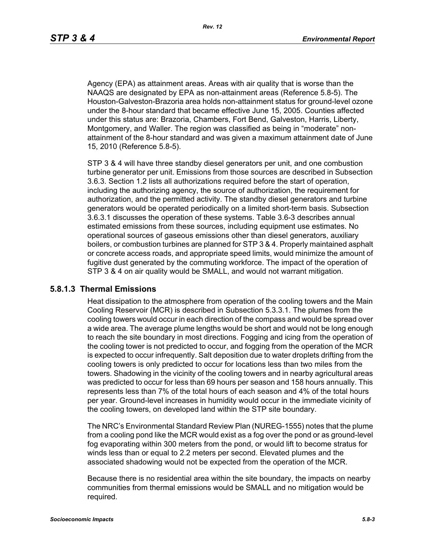Agency (EPA) as attainment areas. Areas with air quality that is worse than the NAAQS are designated by EPA as non-attainment areas (Reference 5.8-5). The Houston-Galveston-Brazoria area holds non-attainment status for ground-level ozone under the 8-hour standard that became effective June 15, 2005. Counties affected under this status are: Brazoria, Chambers, Fort Bend, Galveston, Harris, Liberty, Montgomery, and Waller. The region was classified as being in "moderate" nonattainment of the 8-hour standard and was given a maximum attainment date of June 15, 2010 (Reference 5.8-5).

STP 3 & 4 will have three standby diesel generators per unit, and one combustion turbine generator per unit. Emissions from those sources are described in Subsection 3.6.3. Section 1.2 lists all authorizations required before the start of operation, including the authorizing agency, the source of authorization, the requirement for authorization, and the permitted activity. The standby diesel generators and turbine generators would be operated periodically on a limited short-term basis. Subsection 3.6.3.1 discusses the operation of these systems. Table 3.6-3 describes annual estimated emissions from these sources, including equipment use estimates. No operational sources of gaseous emissions other than diesel generators, auxiliary boilers, or combustion turbines are planned for STP 3 & 4. Properly maintained asphalt or concrete access roads, and appropriate speed limits, would minimize the amount of fugitive dust generated by the commuting workforce. The impact of the operation of STP 3 & 4 on air quality would be SMALL, and would not warrant mitigation.

#### **5.8.1.3 Thermal Emissions**

Heat dissipation to the atmosphere from operation of the cooling towers and the Main Cooling Reservoir (MCR) is described in Subsection 5.3.3.1. The plumes from the cooling towers would occur in each direction of the compass and would be spread over a wide area. The average plume lengths would be short and would not be long enough to reach the site boundary in most directions. Fogging and icing from the operation of the cooling tower is not predicted to occur, and fogging from the operation of the MCR is expected to occur infrequently. Salt deposition due to water droplets drifting from the cooling towers is only predicted to occur for locations less than two miles from the towers. Shadowing in the vicinity of the cooling towers and in nearby agricultural areas was predicted to occur for less than 69 hours per season and 158 hours annually. This represents less than 7% of the total hours of each season and 4% of the total hours per year. Ground-level increases in humidity would occur in the immediate vicinity of the cooling towers, on developed land within the STP site boundary.

The NRC's Environmental Standard Review Plan (NUREG-1555) notes that the plume from a cooling pond like the MCR would exist as a fog over the pond or as ground-level fog evaporating within 300 meters from the pond, or would lift to become stratus for winds less than or equal to 2.2 meters per second. Elevated plumes and the associated shadowing would not be expected from the operation of the MCR.

Because there is no residential area within the site boundary, the impacts on nearby communities from thermal emissions would be SMALL and no mitigation would be required.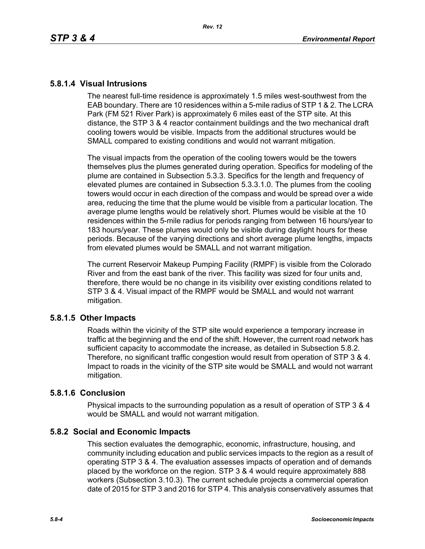# **5.8.1.4 Visual Intrusions**

The nearest full-time residence is approximately 1.5 miles west-southwest from the EAB boundary. There are 10 residences within a 5-mile radius of STP 1 & 2. The LCRA Park (FM 521 River Park) is approximately 6 miles east of the STP site. At this distance, the STP 3 & 4 reactor containment buildings and the two mechanical draft cooling towers would be visible. Impacts from the additional structures would be SMALL compared to existing conditions and would not warrant mitigation.

The visual impacts from the operation of the cooling towers would be the towers themselves plus the plumes generated during operation. Specifics for modeling of the plume are contained in Subsection 5.3.3. Specifics for the length and frequency of elevated plumes are contained in Subsection 5.3.3.1.0. The plumes from the cooling towers would occur in each direction of the compass and would be spread over a wide area, reducing the time that the plume would be visible from a particular location. The average plume lengths would be relatively short. Plumes would be visible at the 10 residences within the 5-mile radius for periods ranging from between 16 hours/year to 183 hours/year. These plumes would only be visible during daylight hours for these periods. Because of the varying directions and short average plume lengths, impacts from elevated plumes would be SMALL and not warrant mitigation.

The current Reservoir Makeup Pumping Facility (RMPF) is visible from the Colorado River and from the east bank of the river. This facility was sized for four units and, therefore, there would be no change in its visibility over existing conditions related to STP 3 & 4. Visual impact of the RMPF would be SMALL and would not warrant mitigation.

# **5.8.1.5 Other Impacts**

Roads within the vicinity of the STP site would experience a temporary increase in traffic at the beginning and the end of the shift. However, the current road network has sufficient capacity to accommodate the increase, as detailed in Subsection 5.8.2. Therefore, no significant traffic congestion would result from operation of STP 3 & 4. Impact to roads in the vicinity of the STP site would be SMALL and would not warrant mitigation.

### **5.8.1.6 Conclusion**

Physical impacts to the surrounding population as a result of operation of STP 3 & 4 would be SMALL and would not warrant mitigation.

# **5.8.2 Social and Economic Impacts**

This section evaluates the demographic, economic, infrastructure, housing, and community including education and public services impacts to the region as a result of operating STP 3 & 4. The evaluation assesses impacts of operation and of demands placed by the workforce on the region. STP 3 & 4 would require approximately 888 workers (Subsection 3.10.3). The current schedule projects a commercial operation date of 2015 for STP 3 and 2016 for STP 4. This analysis conservatively assumes that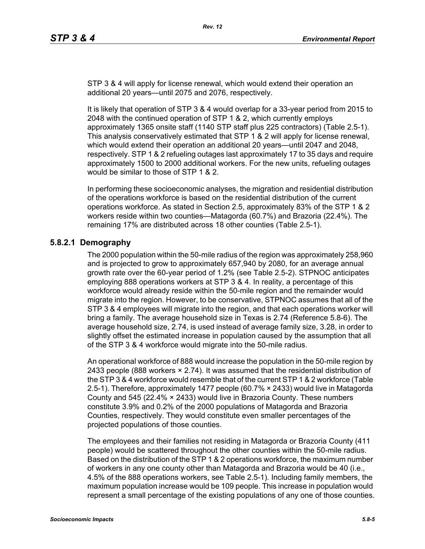STP 3 & 4 will apply for license renewal, which would extend their operation an additional 20 years—until 2075 and 2076, respectively.

It is likely that operation of STP 3 & 4 would overlap for a 33-year period from 2015 to 2048 with the continued operation of STP 1 & 2, which currently employs approximately 1365 onsite staff (1140 STP staff plus 225 contractors) (Table 2.5-1). This analysis conservatively estimated that STP 1 & 2 will apply for license renewal, which would extend their operation an additional 20 years—until 2047 and 2048, respectively. STP 1 & 2 refueling outages last approximately 17 to 35 days and require approximately 1500 to 2000 additional workers. For the new units, refueling outages would be similar to those of STP 1 & 2.

In performing these socioeconomic analyses, the migration and residential distribution of the operations workforce is based on the residential distribution of the current operations workforce. As stated in Section 2.5, approximately 83% of the STP 1 & 2 workers reside within two counties—Matagorda (60.7%) and Brazoria (22.4%). The remaining 17% are distributed across 18 other counties (Table 2.5-1).

# **5.8.2.1 Demography**

The 2000 population within the 50-mile radius of the region was approximately 258,960 and is projected to grow to approximately 657,940 by 2080, for an average annual growth rate over the 60-year period of 1.2% (see Table 2.5-2). STPNOC anticipates employing 888 operations workers at STP 3 & 4. In reality, a percentage of this workforce would already reside within the 50-mile region and the remainder would migrate into the region. However, to be conservative, STPNOC assumes that all of the STP 3 & 4 employees will migrate into the region, and that each operations worker will bring a family. The average household size in Texas is 2.74 (Reference 5.8-6). The average household size, 2.74, is used instead of average family size, 3.28, in order to slightly offset the estimated increase in population caused by the assumption that all of the STP 3 & 4 workforce would migrate into the 50-mile radius.

An operational workforce of 888 would increase the population in the 50-mile region by 2433 people (888 workers  $\times$  2.74). It was assumed that the residential distribution of [the STP 3 & 4 workforce would resemble that of the current STP 1 & 2 workforce \(Table](http://www.stats.bls.gov/)  2.5-1). Therefore, approximately 1477 people (60.7% × 2433) would live in Matagorda County and 545 (22.4% × 2433) would live in Brazoria County. These numbers constitute 3.9% and 0.2% of the 2000 populations of Matagorda and Brazoria Counties, respectively. They would constitute even smaller percentages of the projected populations of those counties.

The employees and their families not residing in Matagorda or Brazoria County (411 people) would be scattered throughout the other counties within the 50-mile radius. Based on the distribution of the STP 1 & 2 operations workforce, the maximum number of workers in any one county other than Matagorda and Brazoria would be 40 (i.e., 4.5% of the 888 operations workers, see Table 2.5-1). Including family members, the maximum population increase would be 109 people. This increase in population would represent a small percentage of the existing populations of any one of those counties.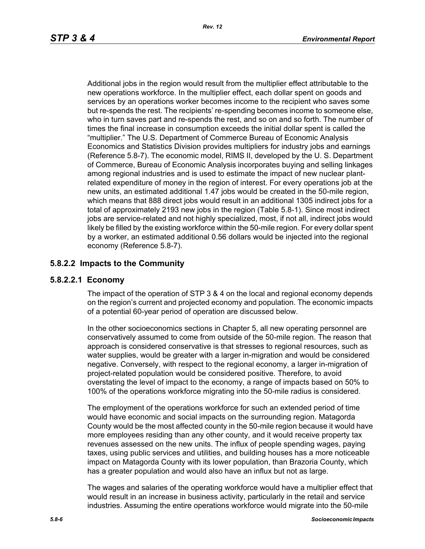Additional jobs in the region would result from the multiplier effect attributable to the new operations workforce. In the multiplier effect, each dollar spent on goods and services by an operations worker becomes income to the recipient who saves some but re-spends the rest. The recipients' re-spending becomes income to someone else, who in turn saves part and re-spends the rest, and so on and so forth. The number of times the final increase in consumption exceeds the initial dollar spent is called the "multiplier." The U.S. Department of Commerce Bureau of Economic Analysis Economics and Statistics Division provides multipliers for industry jobs and earnings (Reference 5.8-7). The economic model, RIMS II, developed by the U. S. Department of Commerce, Bureau of Economic Analysis incorporates buying and selling linkages among regional industries and is used to estimate the impact of new nuclear plantrelated expenditure of money in the region of interest. For every operations job at the new units, an estimated additional 1.47 jobs would be created in the 50-mile region, which means that 888 direct jobs would result in an additional 1305 indirect jobs for a total of approximately 2193 new jobs in the region (Table 5.8-1). Since most indirect iobs are service-related and not highly specialized, most, if not all, indirect jobs would likely be filled by the existing workforce within the 50-mile region. For every dollar spent by a worker, an estimated additional 0.56 dollars would be injected into the regional economy (Reference 5.8-7).

# **5.8.2.2 Impacts to the Community**

# **5.8.2.2.1 Economy**

The impact of the operation of STP 3 & 4 on the local and regional economy depends on the region's current and projected economy and population. The economic impacts of a potential 60-year period of operation are discussed below.

In the other socioeconomics sections in Chapter 5, all new operating personnel are conservatively assumed to come from outside of the 50-mile region. The reason that approach is considered conservative is that stresses to regional resources, such as water supplies, would be greater with a larger in-migration and would be considered negative. Conversely, with respect to the regional economy, a larger in-migration of project-related population would be considered positive. Therefore, to avoid overstating the level of impact to the economy, a range of impacts based on 50% to 100% of the operations workforce migrating into the 50-mile radius is considered.

The employment of the operations workforce for such an extended period of time would have economic and social impacts on the surrounding region. Matagorda County would be the most affected county in the 50-mile region because it would have more employees residing than any other county, and it would receive property tax revenues assessed on the new units. The influx of people spending wages, paying taxes, using public services and utilities, and building houses has a more noticeable impact on Matagorda County with its lower population, than Brazoria County, which has a greater population and would also have an influx but not as large.

The wages and salaries of the operating workforce would have a multiplier effect that would result in an increase in business activity, particularly in the retail and service industries. Assuming the entire operations workforce would migrate into the 50-mile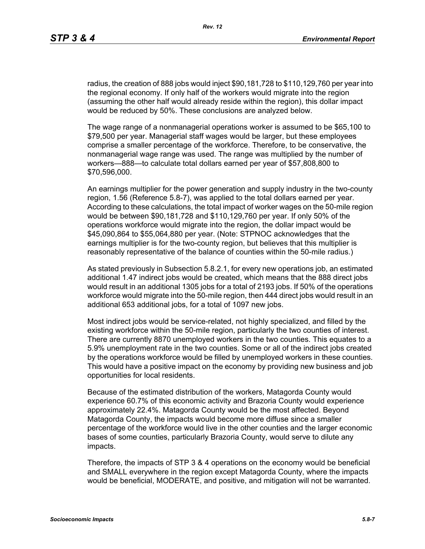radius, the creation of 888 jobs would inject \$90,181,728 to \$110,129,760 per year into the regional economy. If only half of the workers would migrate into the region (assuming the other half would already reside within the region), this dollar impact would be reduced by 50%. These conclusions are analyzed below.

The wage range of a nonmanagerial operations worker is assumed to be \$65,100 to \$79,500 per year. Managerial staff wages would be larger, but these employees comprise a smaller percentage of the workforce. Therefore, to be conservative, the nonmanagerial wage range was used. The range was multiplied by the number of workers—888—to calculate total dollars earned per year of \$57,808,800 to \$70,596,000.

An earnings multiplier for the power generation and supply industry in the two-county region, 1.56 (Reference 5.8-7), was applied to the total dollars earned per year. According to these calculations, the total impact of worker wages on the 50-mile region would be between \$90,181,728 and \$110,129,760 per year. If only 50% of the operations workforce would migrate into the region, the dollar impact would be \$45,090,864 to \$55,064,880 per year. (Note: STPNOC acknowledges that the earnings multiplier is for the two-county region, but believes that this multiplier is reasonably representative of the balance of counties within the 50-mile radius.)

As stated previously in Subsection 5.8.2.1, for every new operations job, an estimated additional 1.47 indirect jobs would be created, which means that the 888 direct jobs would result in an additional 1305 jobs for a total of 2193 jobs. If 50% of the operations workforce would migrate into the 50-mile region, then 444 direct jobs would result in an additional 653 additional jobs, for a total of 1097 new jobs.

Most indirect jobs would be service-related, not highly specialized, and filled by the existing workforce within the 50-mile region, particularly the two counties of interest. There are currently 8870 unemployed workers in the two counties. This equates to a 5.9% unemployment rate in the two counties. Some or all of the indirect jobs created by the operations workforce would be filled by unemployed workers in these counties. This would have a positive impact on the economy by providing new business and job opportunities for local residents.

Because of the estimated distribution of the workers, Matagorda County would experience 60.7% of this economic activity and Brazoria County would experience approximately 22.4%. Matagorda County would be the most affected. Beyond Matagorda County, the impacts would become more diffuse since a smaller percentage of the workforce would live in the other counties and the larger economic bases of some counties, particularly Brazoria County, would serve to dilute any impacts.

Therefore, the impacts of STP 3 & 4 operations on the economy would be beneficial and SMALL everywhere in the region except Matagorda County, where the impacts would be beneficial, MODERATE, and positive, and mitigation will not be warranted.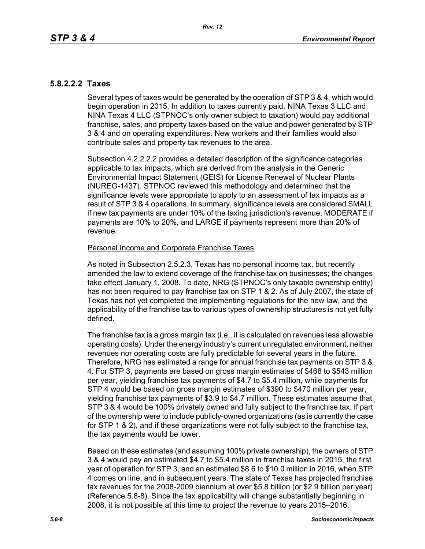# **5.8.2.2.2 Taxes**

Several types of taxes would be generated by the operation of STP 3 & 4, which would begin operation in 2015. In addition to taxes currently paid, NINA Texas 3 LLC and NINA Texas 4 LLC (STPNOC's only owner subject to taxation) would pay additional franchise, sales, and property taxes based on the value and power generated by STP 3 & 4 and on operating expenditures. New workers and their families would also contribute sales and property tax revenues to the area.

Subsection 4.2.2.2.2 provides a detailed description of the significance categories applicable to tax impacts, which are derived from the analysis in the Generic Environmental Impact Statement (GEIS) for License Renewal of Nuclear Plants (NUREG-1437). STPNOC reviewed this methodology and determined that the significance levels were appropriate to apply to an assessment of tax impacts as a result of STP 3 & 4 operations. In summary, significance levels are considered SMALL if new tax payments are under 10% of the taxing jurisdiction's revenue, MODERATE if payments are 10% to 20%, and LARGE if payments represent more than 20% of revenue.

#### Personal Income and Corporate Franchise Taxes

As noted in Subsection 2.5.2.3, Texas has no personal income tax, but recently amended the law to extend coverage of the franchise tax on businesses; the changes take effect January 1, 2008. To date, NRG (STPNOC's only taxable ownership entity) has not been required to pay franchise tax on STP 1 & 2. As of July 2007, the state of Texas has not yet completed the implementing regulations for the new law, and the applicability of the franchise tax to various types of ownership structures is not yet fully defined.

The franchise tax is a gross margin tax (i.e., it is calculated on revenues less allowable operating costs). Under the energy industry's current unregulated environment, neither revenues nor operating costs are fully predictable for several years in the future. Therefore, NRG has estimated a range for annual franchise tax payments on STP 3 & 4. For STP 3, payments are based on gross margin estimates of \$468 to \$543 million per year, yielding franchise tax payments of \$4.7 to \$5.4 million, while payments for STP 4 would be based on gross margin estimates of \$390 to \$470 million per year, yielding franchise tax payments of \$3.9 to \$4.7 million. These estimates assume that STP 3 & 4 would be 100% privately owned and fully subject to the franchise tax. If part of the ownership were to include publicly-owned organizations (as is currently the case for STP 1 & 2), and if these organizations were not fully subject to the franchise tax, the tax payments would be lower.

Based on these estimates (and assuming 100% private ownership), the owners of STP 3 & 4 would pay an estimated \$4.7 to \$5.4 million in franchise taxes in 2015, the first year of operation for STP 3, and an estimated \$8.6 to \$10.0 million in 2016, when STP 4 comes on line, and in subsequent years. The state of Texas has projected franchise tax revenues for the 2008-2009 biennium at over \$5.8 billion (or \$2.9 billion per year) (Reference 5.8-8). Since the tax applicability will change substantially beginning in 2008, it is not possible at this time to project the revenue to years 2015–2016.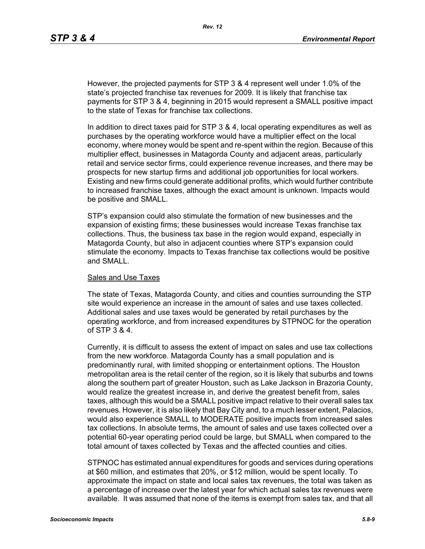However, the projected payments for STP 3 & 4 represent well under 1.0% of the state's projected franchise tax revenues for 2009. It is likely that franchise tax payments for STP 3 & 4, beginning in 2015 would represent a SMALL positive impact to the state of Texas for franchise tax collections.

In addition to direct taxes paid for STP 3 & 4, local operating expenditures as well as purchases by the operating workforce would have a multiplier effect on the local economy, where money would be spent and re-spent within the region. Because of this multiplier effect, businesses in Matagorda County and adjacent areas, particularly retail and service sector firms, could experience revenue increases, and there may be prospects for new startup firms and additional job opportunities for local workers. Existing and new firms could generate additional profits, which would further contribute to increased franchise taxes, although the exact amount is unknown. Impacts would be positive and SMALL.

STP's expansion could also stimulate the formation of new businesses and the expansion of existing firms; these businesses would increase Texas franchise tax collections. Thus, the business tax base in the region would expand, especially in Matagorda County, but also in adjacent counties where STP's expansion could stimulate the economy. Impacts to Texas franchise tax collections would be positive and SMALL.

#### Sales and Use Taxes

The state of Texas, Matagorda County, and cities and counties surrounding the STP site would experience an increase in the amount of sales and use taxes collected. Additional sales and use taxes would be generated by retail purchases by the operating workforce, and from increased expenditures by STPNOC for the operation of STP 3 & 4.

Currently, it is difficult to assess the extent of impact on sales and use tax collections from the new workforce. Matagorda County has a small population and is predominantly rural, with limited shopping or entertainment options. The Houston metropolitan area is the retail center of the region, so it is likely that suburbs and towns along the southern part of greater Houston, such as Lake Jackson in Brazoria County, would realize the greatest increase in, and derive the greatest benefit from, sales taxes, although this would be a SMALL positive impact relative to their overall sales tax revenues. However, it is also likely that Bay City and, to a much lesser extent, Palacios, would also experience SMALL to MODERATE positive impacts from increased sales tax collections. In absolute terms, the amount of sales and use taxes collected over a potential 60-year operating period could be large, but SMALL when compared to the total amount of taxes collected by Texas and the affected counties and cities.

STPNOC has estimated annual expenditures for goods and services during operations at \$60 million, and estimates that 20%, or \$12 million, would be spent locally. To approximate the impact on state and local sales tax revenues, the total was taken as a percentage of increase over the latest year for which actual sales tax revenues were available. It was assumed that none of the items is exempt from sales tax, and that all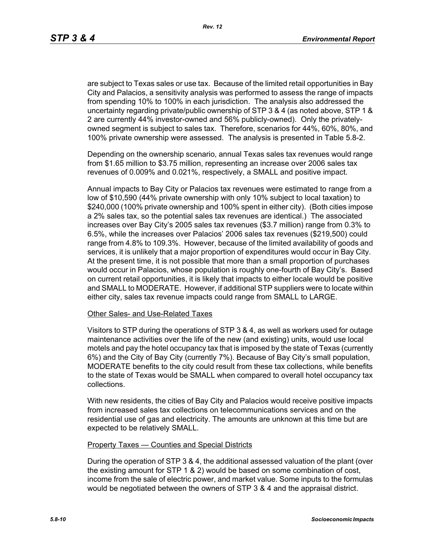are subject to Texas sales or use tax. Because of the limited retail opportunities in Bay City and Palacios, a sensitivity analysis was performed to assess the range of impacts from spending 10% to 100% in each jurisdiction. The analysis also addressed the uncertainty regarding private/public ownership of STP 3 & 4 (as noted above, STP 1 & 2 are currently 44% investor-owned and 56% publicly-owned). Only the privatelyowned segment is subject to sales tax. Therefore, scenarios for 44%, 60%, 80%, and 100% private ownership were assessed. The analysis is presented in Table 5.8-2.

Depending on the ownership scenario, annual Texas sales tax revenues would range from \$1.65 million to \$3.75 million, representing an increase over 2006 sales tax revenues of 0.009% and 0.021%, respectively, a SMALL and positive impact.

Annual impacts to Bay City or Palacios tax revenues were estimated to range from a low of \$10,590 (44% private ownership with only 10% subject to local taxation) to \$240,000 (100% private ownership and 100% spent in either city). (Both cities impose a 2% sales tax, so the potential sales tax revenues are identical.) The associated increases over Bay City's 2005 sales tax revenues (\$3.7 million) range from 0.3% to 6.5%, while the increases over Palacios' 2006 sales tax revenues (\$219,500) could range from 4.8% to 109.3%. However, because of the limited availability of goods and services, it is unlikely that a major proportion of expenditures would occur in Bay City. At the present time, it is not possible that more than a small proportion of purchases would occur in Palacios, whose population is roughly one-fourth of Bay City's. Based on current retail opportunities, it is likely that impacts to either locale would be positive and SMALL to MODERATE. However, if additional STP suppliers were to locate within either city, sales tax revenue impacts could range from SMALL to LARGE.

#### Other Sales- and Use-Related Taxes

Visitors to STP during the operations of STP 3 & 4, as well as workers used for outage maintenance activities over the life of the new (and existing) units, would use local motels and pay the hotel occupancy tax that is imposed by the state of Texas (currently 6%) and the City of Bay City (currently 7%). Because of Bay City's small population, MODERATE benefits to the city could result from these tax collections, while benefits to the state of Texas would be SMALL when compared to overall hotel occupancy tax collections.

With new residents, the cities of Bay City and Palacios would receive positive impacts from increased sales tax collections on telecommunications services and on the residential use of gas and electricity. The amounts are unknown at this time but are expected to be relatively SMALL.

#### Property Taxes — Counties and Special Districts

During the operation of STP 3 & 4, the additional assessed valuation of the plant (over the existing amount for STP 1 & 2) would be based on some combination of cost, income from the sale of electric power, and market value. Some inputs to the formulas would be negotiated between the owners of STP 3 & 4 and the appraisal district.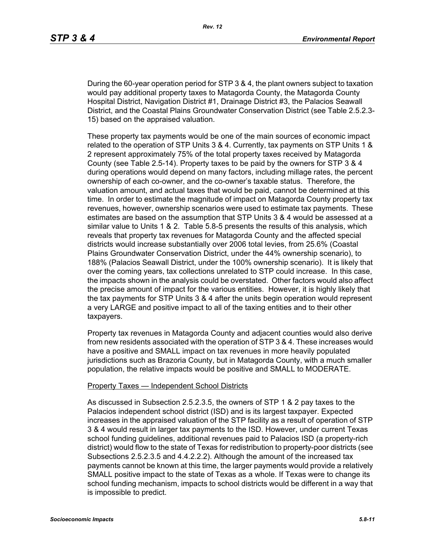During the 60-year operation period for STP 3 & 4, the plant owners subject to taxation would pay additional property taxes to Matagorda County, the Matagorda County Hospital District, Navigation District #1, Drainage District #3, the Palacios Seawall District, and the Coastal Plains Groundwater Conservation District (see Table 2.5.2.3- 15) based on the appraised valuation.

These property tax payments would be one of the main sources of economic impact related to the operation of STP Units 3 & 4. Currently, tax payments on STP Units 1 & 2 represent approximately 75% of the total property taxes received by Matagorda County (see Table 2.5-14). Property taxes to be paid by the owners for STP 3 & 4 during operations would depend on many factors, including millage rates, the percent ownership of each co-owner, and the co-owner's taxable status. Therefore, the valuation amount, and actual taxes that would be paid, cannot be determined at this time. In order to estimate the magnitude of impact on Matagorda County property tax revenues, however, ownership scenarios were used to estimate tax payments. These estimates are based on the assumption that STP Units 3 & 4 would be assessed at a similar value to Units 1 & 2. Table 5.8-5 presents the results of this analysis, which reveals that property tax revenues for Matagorda County and the affected special districts would increase substantially over 2006 total levies, from 25.6% (Coastal Plains Groundwater Conservation District, under the 44% ownership scenario), to 188% (Palacios Seawall District, under the 100% ownership scenario). It is likely that over the coming years, tax collections unrelated to STP could increase. In this case, the impacts shown in the analysis could be overstated. Other factors would also affect the precise amount of impact for the various entities. However, it is highly likely that the tax payments for STP Units 3 & 4 after the units begin operation would represent a very LARGE and positive impact to all of the taxing entities and to their other taxpayers.

Property tax revenues in Matagorda County and adjacent counties would also derive from new residents associated with the operation of STP 3 & 4. These increases would have a positive and SMALL impact on tax revenues in more heavily populated jurisdictions such as Brazoria County, but in Matagorda County, with a much smaller population, the relative impacts would be positive and SMALL to MODERATE.

#### Property Taxes — Independent School Districts

As discussed in Subsection 2.5.2.3.5, the owners of STP 1 & 2 pay taxes to the Palacios independent school district (ISD) and is its largest taxpayer. Expected increases in the appraised valuation of the STP facility as a result of operation of STP 3 & 4 would result in larger tax payments to the ISD. However, under current Texas school funding guidelines, additional revenues paid to Palacios ISD (a property-rich district) would flow to the state of Texas for redistribution to property-poor districts (see Subsections 2.5.2.3.5 and 4.4.2.2.2). Although the amount of the increased tax payments cannot be known at this time, the larger payments would provide a relatively SMALL positive impact to the state of Texas as a whole. If Texas were to change its school funding mechanism, impacts to school districts would be different in a way that is impossible to predict.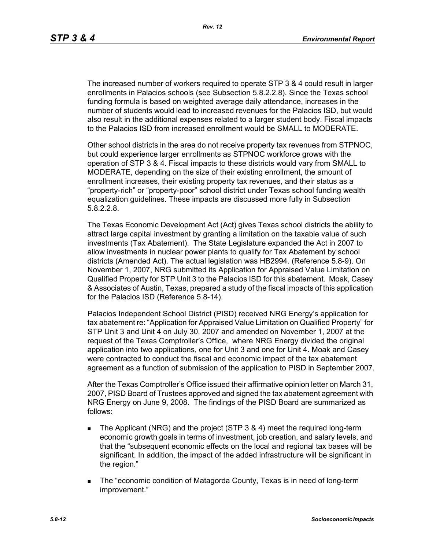The increased number of workers required to operate STP 3 & 4 could result in larger enrollments in Palacios schools (see Subsection 5.8.2.2.8). Since the Texas school funding formula is based on weighted average daily attendance, increases in the number of students would lead to increased revenues for the Palacios ISD, but would also result in the additional expenses related to a larger student body. Fiscal impacts to the Palacios ISD from increased enrollment would be SMALL to MODERATE.

Other school districts in the area do not receive property tax revenues from STPNOC, but could experience larger enrollments as STPNOC workforce grows with the operation of STP 3 & 4. Fiscal impacts to these districts would vary from SMALL to MODERATE, depending on the size of their existing enrollment, the amount of enrollment increases, their existing property tax revenues, and their status as a "property-rich" or "property-poor" school district under Texas school funding wealth equalization guidelines. These impacts are discussed more fully in Subsection 5.8.2.2.8.

The Texas Economic Development Act (Act) gives Texas school districts the ability to attract large capital investment by granting a limitation on the taxable value of such investments (Tax Abatement). The State Legislature expanded the Act in 2007 to allow investments in nuclear power plants to qualify for Tax Abatement by school districts (Amended Act). The actual legislation was HB2994. (Reference 5.8-9). On November 1, 2007, NRG submitted its Application for Appraised Value Limitation on Qualified Property for STP Unit 3 to the Palacios ISD for this abatement. Moak, Casey & Associates of Austin, Texas, prepared a study of the fiscal impacts of this application for the Palacios ISD (Reference 5.8-14).

Palacios Independent School District (PISD) received NRG Energy's application for tax abatement re: "Application for Appraised Value Limitation on Qualified Property" for STP Unit 3 and Unit 4 on July 30, 2007 and amended on November 1, 2007 at the request of the Texas Comptroller's Office, where NRG Energy divided the original application into two applications, one for Unit 3 and one for Unit 4. Moak and Casey were contracted to conduct the fiscal and economic impact of the tax abatement agreement as a function of submission of the application to PISD in September 2007.

After the Texas Comptroller's Office issued their affirmative opinion letter on March 31, 2007, PISD Board of Trustees approved and signed the tax abatement agreement with NRG Energy on June 9, 2008. The findings of the PISD Board are summarized as follows:

- The Applicant (NRG) and the project (STP 3 & 4) meet the required long-term economic growth goals in terms of investment, job creation, and salary levels, and that the "subsequent economic effects on the local and regional tax bases will be significant. In addition, the impact of the added infrastructure will be significant in the region."
- The "economic condition of Matagorda County, Texas is in need of long-term improvement."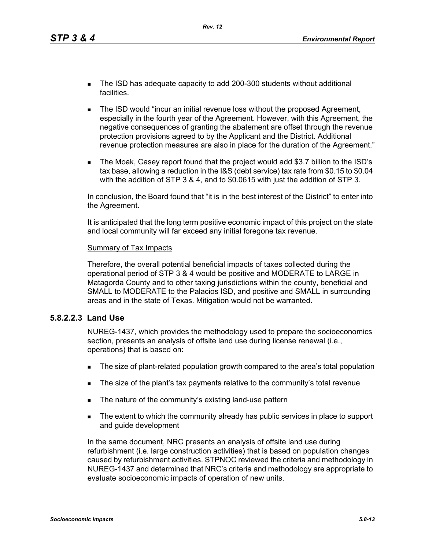- The ISD has adequate capacity to add 200-300 students without additional facilities.
- **The ISD would "incur an initial revenue loss without the proposed Agreement,** especially in the fourth year of the Agreement. However, with this Agreement, the negative consequences of granting the abatement are offset through the revenue protection provisions agreed to by the Applicant and the District. Additional revenue protection measures are also in place for the duration of the Agreement."
- The Moak, Casey report found that the project would add \$3.7 billion to the ISD's tax base, allowing a reduction in the I&S (debt service) tax rate from \$0.15 to \$0.04 with the addition of STP 3 & 4, and to \$0.0615 with just the addition of STP 3.

In conclusion, the Board found that "it is in the best interest of the District" to enter into the Agreement.

It is anticipated that the long term positive economic impact of this project on the state and local community will far exceed any initial foregone tax revenue.

#### Summary of Tax Impacts

Therefore, the overall potential beneficial impacts of taxes collected during the operational period of STP 3 & 4 would be positive and MODERATE to LARGE in Matagorda County and to other taxing jurisdictions within the county, beneficial and SMALL to MODERATE to the Palacios ISD, and positive and SMALL in surrounding areas and in the state of Texas. Mitigation would not be warranted.

### **5.8.2.2.3 Land Use**

NUREG-1437, which provides the methodology used to prepare the socioeconomics section, presents an analysis of offsite land use during license renewal (i.e., operations) that is based on:

- The size of plant-related population growth compared to the area's total population
- The size of the plant's tax payments relative to the community's total revenue
- The nature of the community's existing land-use pattern
- The extent to which the community already has public services in place to support and guide development

In the same document, NRC presents an analysis of offsite land use during refurbishment (i.e. large construction activities) that is based on population changes caused by refurbishment activities. STPNOC reviewed the criteria and methodology in NUREG-1437 and determined that NRC's criteria and methodology are appropriate to evaluate socioeconomic impacts of operation of new units.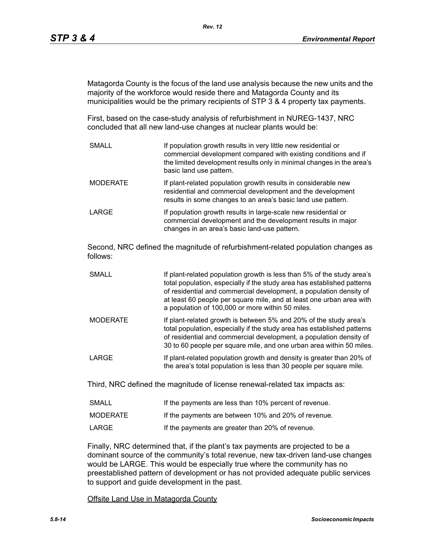Matagorda County is the focus of the land use analysis because the new units and the majority of the workforce would reside there and Matagorda County and its municipalities would be the primary recipients of STP 3 & 4 property tax payments.

First, based on the case-study analysis of refurbishment in NUREG-1437, NRC concluded that all new land-use changes at nuclear plants would be:

SMALL **If population growth results in very little new residential or** commercial development compared with existing conditions and if the limited development results only in minimal changes in the area's basic land use pattern. MODERATE **If plant-related population growth results in considerable new** residential and commercial development and the development results in some changes to an area's basic land use pattern. LARGE **If population growth results in large-scale new residential or** commercial development and the development results in major changes in an area's basic land-use pattern.

Second, NRC defined the magnitude of refurbishment-related population changes as follows:

- SMALL **If plant-related population growth is less than 5% of the study area's** total population, especially if the study area has established patterns of residential and commercial development, a population density of at least 60 people per square mile, and at least one urban area with a population of 100,000 or more within 50 miles.
- MODERATE If plant-related growth is between 5% and 20% of the study area's total population, especially if the study area has established patterns of residential and commercial development, a population density of 30 to 60 people per square mile, and one urban area within 50 miles.
- LARGE **If plant-related population growth and density is greater than 20% of** the area's total population is less than 30 people per square mile.

Third, NRC defined the magnitude of license renewal-related tax impacts as:

| <b>SMALL</b> | If the payments are less than 10% percent of revenue. |
|--------------|-------------------------------------------------------|
| MODERATE     | If the payments are between 10% and 20% of revenue.   |
| LARGE        | If the payments are greater than 20% of revenue.      |

Finally, NRC determined that, if the plant's tax payments are projected to be a dominant source of the community's total revenue, new tax-driven land-use changes would be LARGE. This would be especially true where the community has no preestablished pattern of development or has not provided adequate public services to support and guide development in the past.

Offsite Land Use in Matagorda County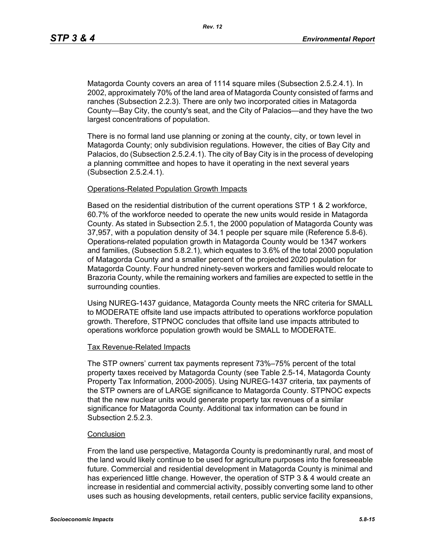Matagorda County covers an area of 1114 square miles (Subsection 2.5.2.4.1). In 2002, approximately 70% of the land area of Matagorda County consisted of farms and ranches (Subsection 2.2.3). There are only two incorporated cities in Matagorda County—Bay City, the county's seat, and the City of Palacios—and they have the two largest concentrations of population.

There is no formal land use planning or zoning at the county, city, or town level in Matagorda County; only subdivision regulations. However, the cities of Bay City and Palacios, do (Subsection 2.5.2.4.1). The city of Bay City is in the process of developing a planning committee and hopes to have it operating in the next several years (Subsection 2.5.2.4.1).

#### Operations-Related Population Growth Impacts

Based on the residential distribution of the current operations STP 1 & 2 workforce, 60.7% of the workforce needed to operate the new units would reside in Matagorda County. As stated in Subsection 2.5.1, the 2000 population of Matagorda County was 37,957, with a population density of 34.1 people per square mile (Reference 5.8-6). Operations-related population growth in Matagorda County would be 1347 workers and families, (Subsection 5.8.2.1), which equates to 3.6% of the total 2000 population of Matagorda County and a smaller percent of the projected 2020 population for Matagorda County. Four hundred ninety-seven workers and families would relocate to Brazoria County, while the remaining workers and families are expected to settle in the surrounding counties.

Using NUREG-1437 guidance, Matagorda County meets the NRC criteria for SMALL to MODERATE offsite land use impacts attributed to operations workforce population growth. Therefore, STPNOC concludes that offsite land use impacts attributed to operations workforce population growth would be SMALL to MODERATE.

#### Tax Revenue-Related Impacts

The STP owners' current tax payments represent 73%–75% percent of the total property taxes received by Matagorda County (see Table 2.5-14, Matagorda County Property Tax Information, 2000-2005). Using NUREG-1437 criteria, tax payments of the STP owners are of LARGE significance to Matagorda County. STPNOC expects that the new nuclear units would generate property tax revenues of a similar significance for Matagorda County. Additional tax information can be found in Subsection 2.5.2.3.

### **Conclusion**

From the land use perspective, Matagorda County is predominantly rural, and most of the land would likely continue to be used for agriculture purposes into the foreseeable future. Commercial and residential development in Matagorda County is minimal and has experienced little change. However, the operation of STP 3 & 4 would create an increase in residential and commercial activity, possibly converting some land to other uses such as housing developments, retail centers, public service facility expansions,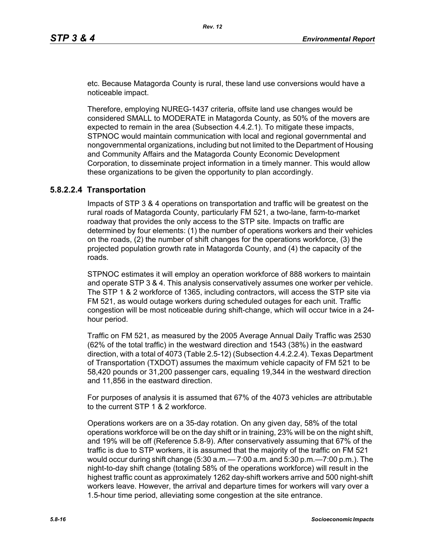etc. Because Matagorda County is rural, these land use conversions would have a noticeable impact.

Therefore, employing NUREG-1437 criteria, offsite land use changes would be considered SMALL to MODERATE in Matagorda County, as 50% of the movers are expected to remain in the area (Subsection 4.4.2.1). To mitigate these impacts, STPNOC would maintain communication with local and regional governmental and nongovernmental organizations, including but not limited to the Department of Housing and Community Affairs and the Matagorda County Economic Development Corporation, to disseminate project information in a timely manner. This would allow these organizations to be given the opportunity to plan accordingly.

### **5.8.2.2.4 Transportation**

Impacts of STP 3 & 4 operations on transportation and traffic will be greatest on the rural roads of Matagorda County, particularly FM 521, a two-lane, farm-to-market roadway that provides the only access to the STP site. Impacts on traffic are determined by four elements: (1) the number of operations workers and their vehicles on the roads, (2) the number of shift changes for the operations workforce, (3) the projected population growth rate in Matagorda County, and (4) the capacity of the roads.

STPNOC estimates it will employ an operation workforce of 888 workers to maintain and operate STP 3 & 4. This analysis conservatively assumes one worker per vehicle. The STP 1 & 2 workforce of 1365, including contractors, will access the STP site via FM 521, as would outage workers during scheduled outages for each unit. Traffic congestion will be most noticeable during shift-change, which will occur twice in a 24 hour period.

Traffic on FM 521, as measured by the 2005 Average Annual Daily Traffic was 2530 (62% of the total traffic) in the westward direction and 1543 (38%) in the eastward direction, with a total of 4073 (Table 2.5-12) (Subsection 4.4.2.2.4). Texas Department of Transportation (TXDOT) assumes the maximum vehicle capacity of FM 521 to be 58,420 pounds or 31,200 passenger cars, equaling 19,344 in the westward direction and 11,856 in the eastward direction.

For purposes of analysis it is assumed that 67% of the 4073 vehicles are attributable to the current STP 1 & 2 workforce.

Operations workers are on a 35-day rotation. On any given day, 58% of the total operations workforce will be on the day shift or in training, 23% will be on the night shift, and 19% will be off (Reference 5.8-9). After conservatively assuming that 67% of the traffic is due to STP workers, it is assumed that the majority of the traffic on FM 521 would occur during shift change (5:30 a.m.— 7:00 a.m. and 5:30 p.m.—7:00 p.m.). The night-to-day shift change (totaling 58% of the operations workforce) will result in the highest traffic count as approximately 1262 day-shift workers arrive and 500 night-shift workers leave. However, the arrival and departure times for workers will vary over a 1.5-hour time period, alleviating some congestion at the site entrance.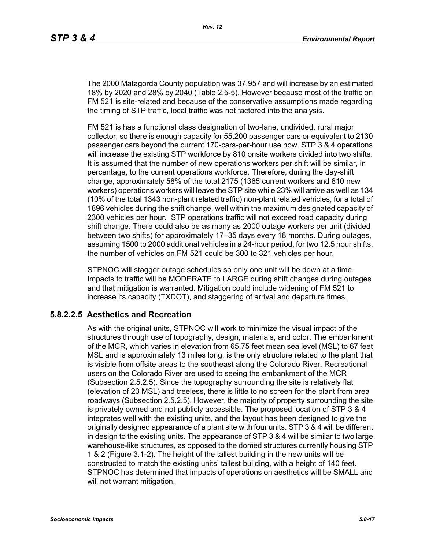The 2000 Matagorda County population was 37,957 and will increase by an estimated 18% by 2020 and 28% by 2040 (Table 2.5-5). However because most of the traffic on FM 521 is site-related and because of the conservative assumptions made regarding the timing of STP traffic, local traffic was not factored into the analysis.

FM 521 is has a functional class designation of two-lane, undivided, rural major collector, so there is enough capacity for 55,200 passenger cars or equivalent to 2130 passenger cars beyond the current 170-cars-per-hour use now. STP 3 & 4 operations will increase the existing STP workforce by 810 onsite workers divided into two shifts. It is assumed that the number of new operations workers per shift will be similar, in percentage, to the current operations workforce. Therefore, during the day-shift change, approximately 58% of the total 2175 (1365 current workers and 810 new workers) operations workers will leave the STP site while 23% will arrive as well as 134 (10% of the total 1343 non-plant related traffic) non-plant related vehicles, for a total of 1896 vehicles during the shift change, well within the maximum designated capacity of 2300 vehicles per hour. STP operations traffic will not exceed road capacity during shift change. There could also be as many as 2000 outage workers per unit (divided between two shifts) for approximately 17–35 days every 18 months. During outages, assuming 1500 to 2000 additional vehicles in a 24-hour period, for two 12.5 hour shifts, the number of vehicles on FM 521 could be 300 to 321 vehicles per hour.

STPNOC will stagger outage schedules so only one unit will be down at a time. Impacts to traffic will be MODERATE to LARGE during shift changes during outages and that mitigation is warranted. Mitigation could include widening of FM 521 to increase its capacity (TXDOT), and staggering of arrival and departure times.

### **5.8.2.2.5 Aesthetics and Recreation**

As with the original units, STPNOC will work to minimize the visual impact of the structures through use of topography, design, materials, and color. The embankment of the MCR, which varies in elevation from 65.75 feet mean sea level (MSL) to 67 feet MSL and is approximately 13 miles long, is the only structure related to the plant that is visible from offsite areas to the southeast along the Colorado River. Recreational users on the Colorado River are used to seeing the embankment of the MCR (Subsection 2.5.2.5). Since the topography surrounding the site is relatively flat (elevation of 23 MSL) and treeless, there is little to no screen for the plant from area roadways (Subsection 2.5.2.5). However, the majority of property surrounding the site is privately owned and not publicly accessible. The proposed location of STP 3 & 4 integrates well with the existing units, and the layout has been designed to give the originally designed appearance of a plant site with four units. STP 3 & 4 will be different in design to the existing units. The appearance of STP 3 & 4 will be similar to two large warehouse-like structures, as opposed to the domed structures currently housing STP 1 & 2 (Figure 3.1-2). The height of the tallest building in the new units will be constructed to match the existing units' tallest building, with a height of 140 feet. STPNOC has determined that impacts of operations on aesthetics will be SMALL and will not warrant mitigation.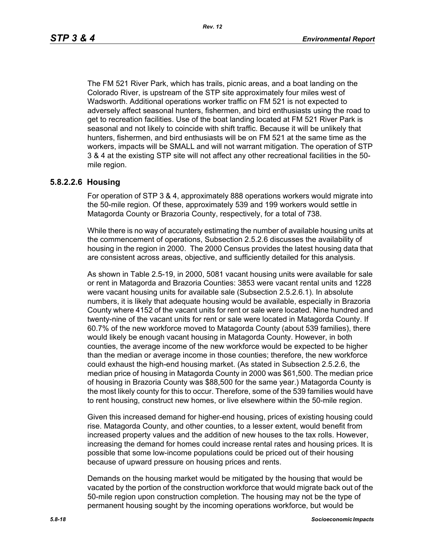The FM 521 River Park, which has trails, picnic areas, and a boat landing on the Colorado River, is upstream of the STP site approximately four miles west of Wadsworth. Additional operations worker traffic on FM 521 is not expected to adversely affect seasonal hunters, fishermen, and bird enthusiasts using the road to get to recreation facilities. Use of the boat landing located at FM 521 River Park is seasonal and not likely to coincide with shift traffic. Because it will be unlikely that hunters, fishermen, and bird enthusiasts will be on FM 521 at the same time as the workers, impacts will be SMALL and will not warrant mitigation. The operation of STP 3 & 4 at the existing STP site will not affect any other recreational facilities in the 50 mile region.

#### **5.8.2.2.6 Housing**

For operation of STP 3 & 4, approximately 888 operations workers would migrate into the 50-mile region. Of these, approximately 539 and 199 workers would settle in Matagorda County or Brazoria County, respectively, for a total of 738.

While there is no way of accurately estimating the number of available housing units at the commencement of operations, Subsection 2.5.2.6 discusses the availability of housing in the region in 2000. The 2000 Census provides the latest housing data that are consistent across areas, objective, and sufficiently detailed for this analysis.

As shown in Table 2.5-19, in 2000, 5081 vacant housing units were available for sale or rent in Matagorda and Brazoria Counties: 3853 were vacant rental units and 1228 were vacant housing units for available sale (Subsection 2.5.2.6.1). In absolute numbers, it is likely that adequate housing would be available, especially in Brazoria County where 4152 of the vacant units for rent or sale were located. Nine hundred and twenty-nine of the vacant units for rent or sale were located in Matagorda County. If 60.7% of the new workforce moved to Matagorda County (about 539 families), there would likely be enough vacant housing in Matagorda County. However, in both counties, the average income of the new workforce would be expected to be higher than the median or average income in those counties; therefore, the new workforce could exhaust the high-end housing market. (As stated in Subsection 2.5.2.6, the median price of housing in Matagorda County in 2000 was \$61,500. The median price of housing in Brazoria County was \$88,500 for the same year.) Matagorda County is the most likely county for this to occur. Therefore, some of the 539 families would have to rent housing, construct new homes, or live elsewhere within the 50-mile region.

Given this increased demand for higher-end housing, prices of existing housing could rise. Matagorda County, and other counties, to a lesser extent, would benefit from increased property values and the addition of new houses to the tax rolls. However, increasing the demand for homes could increase rental rates and housing prices. It is possible that some low-income populations could be priced out of their housing because of upward pressure on housing prices and rents.

Demands on the housing market would be mitigated by the housing that would be vacated by the portion of the construction workforce that would migrate back out of the 50-mile region upon construction completion. The housing may not be the type of permanent housing sought by the incoming operations workforce, but would be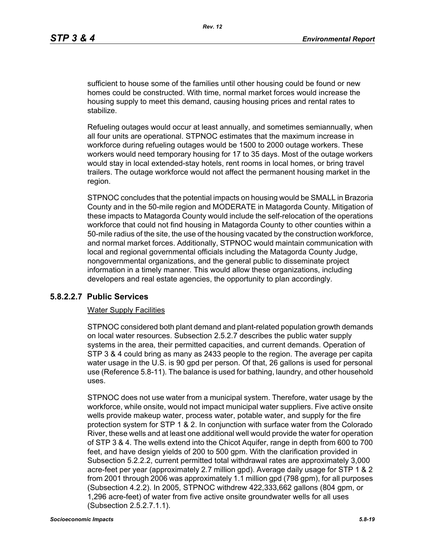sufficient to house some of the families until other housing could be found or new homes could be constructed. With time, normal market forces would increase the housing supply to meet this demand, causing housing prices and rental rates to stabilize.

Refueling outages would occur at least annually, and sometimes semiannually, when all four units are operational. STPNOC estimates that the maximum increase in workforce during refueling outages would be 1500 to 2000 outage workers. These workers would need temporary housing for 17 to 35 days. Most of the outage workers would stay in local extended-stay hotels, rent rooms in local homes, or bring travel trailers. The outage workforce would not affect the permanent housing market in the region.

STPNOC concludes that the potential impacts on housing would be SMALL in Brazoria County and in the 50-mile region and MODERATE in Matagorda County. Mitigation of these impacts to Matagorda County would include the self-relocation of the operations workforce that could not find housing in Matagorda County to other counties within a 50-mile radius of the site, the use of the housing vacated by the construction workforce, and normal market forces. Additionally, STPNOC would maintain communication with local and regional governmental officials including the Matagorda County Judge, nongovernmental organizations, and the general public to disseminate project information in a timely manner. This would allow these organizations, including developers and real estate agencies, the opportunity to plan accordingly.

### **5.8.2.2.7 Public Services**

#### Water Supply Facilities

STPNOC considered both plant demand and plant-related population growth demands on local water resources. Subsection 2.5.2.7 describes the public water supply systems in the area, their permitted capacities, and current demands. Operation of STP 3 & 4 could bring as many as 2433 people to the region. The average per capita water usage in the U.S. is 90 gpd per person. Of that, 26 gallons is used for personal use (Reference 5.8-11). The balance is used for bathing, laundry, and other household uses.

STPNOC does not use water from a municipal system. Therefore, water usage by the workforce, while onsite, would not impact municipal water suppliers. Five active onsite wells provide makeup water, process water, potable water, and supply for the fire protection system for STP 1 & 2. In conjunction with surface water from the Colorado River, these wells and at least one additional well would provide the water for operation of STP 3 & 4. The wells extend into the Chicot Aquifer, range in depth from 600 to 700 feet, and have design yields of 200 to 500 gpm. With the clarification provided in Subsection 5.2.2.2, current permitted total withdrawal rates are approximately 3,000 acre-feet per year (approximately 2.7 million gpd). Average daily usage for STP 1 & 2 from 2001 through 2006 was approximately 1.1 million gpd (798 gpm), for all purposes (Subsection 4.2.2). In 2005, STPNOC withdrew 422,333,662 gallons (804 gpm, or 1,296 acre-feet) of water from five active onsite groundwater wells for all uses (Subsection 2.5.2.7.1.1).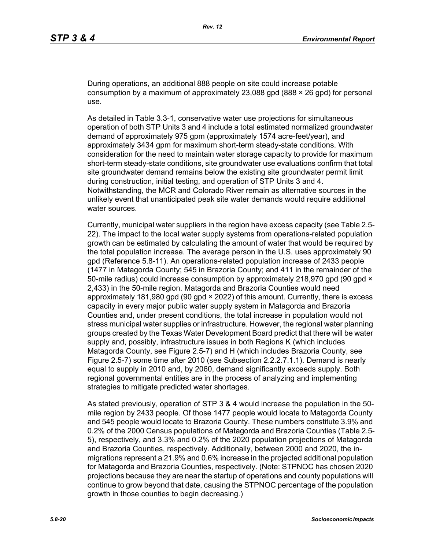During operations, an additional 888 people on site could increase potable consumption by a maximum of approximately 23,088 gpd (888  $\times$  26 gpd) for personal use.

As detailed in Table 3.3-1, conservative water use projections for simultaneous operation of both STP Units 3 and 4 include a total estimated normalized groundwater demand of approximately 975 gpm (approximately 1574 acre-feet/year), and approximately 3434 gpm for maximum short-term steady-state conditions. With consideration for the need to maintain water storage capacity to provide for maximum short-term steady-state conditions, site groundwater use evaluations confirm that total site groundwater demand remains below the existing site groundwater permit limit during construction, initial testing, and operation of STP Units 3 and 4. Notwithstanding, the MCR and Colorado River remain as alternative sources in the unlikely event that unanticipated peak site water demands would require additional water sources.

Currently, municipal water suppliers in the region have excess capacity (see Table 2.5- 22). The impact to the local water supply systems from operations-related population growth can be estimated by calculating the amount of water that would be required by the total population increase. The average person in the U.S. uses approximately 90 gpd (Reference 5.8-11). An operations-related population increase of 2433 people (1477 in Matagorda County; 545 in Brazoria County; and 411 in the remainder of the 50-mile radius) could increase consumption by approximately 218,970 gpd (90 gpd  $\times$ 2,433) in the 50-mile region. Matagorda and Brazoria Counties would need approximately 181,980 gpd (90 gpd × 2022) of this amount. Currently, there is excess capacity in every major public water supply system in Matagorda and Brazoria Counties and, under present conditions, the total increase in population would not stress municipal water supplies or infrastructure. However, the regional water planning groups created by the Texas Water Development Board predict that there will be water supply and, possibly, infrastructure issues in both Regions K (which includes Matagorda County, see Figure 2.5-7) and H (which includes Brazoria County, see Figure 2.5-7) some time after 2010 (see Subsection 2.2.2.7.1.1). Demand is nearly equal to supply in 2010 and, by 2060, demand significantly exceeds supply. Both regional governmental entities are in the process of analyzing and implementing strategies to mitigate predicted water shortages.

As stated previously, operation of STP 3 & 4 would increase the population in the 50 mile region by 2433 people. Of those 1477 people would locate to Matagorda County and 545 people would locate to Brazoria County. These numbers constitute 3.9% and 0.2% of the 2000 Census populations of Matagorda and Brazoria Counties (Table 2.5- 5), respectively, and 3.3% and 0.2% of the 2020 population projections of Matagorda and Brazoria Counties, respectively. Additionally, between 2000 and 2020, the inmigrations represent a 21.9% and 0.6% increase in the projected additional population for Matagorda and Brazoria Counties, respectively. (Note: STPNOC has chosen 2020 projections because they are near the startup of operations and county populations will continue to grow beyond that date, causing the STPNOC percentage of the population growth in those counties to begin decreasing.)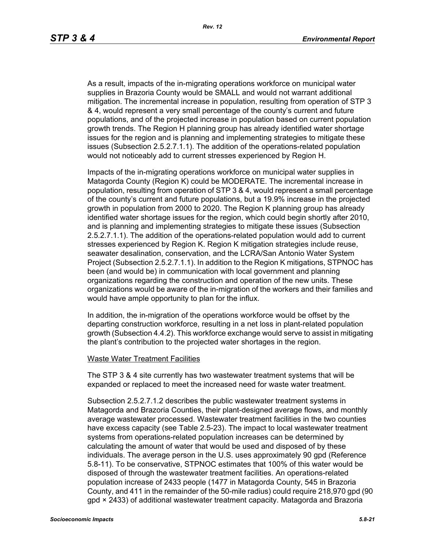As a result, impacts of the in-migrating operations workforce on municipal water supplies in Brazoria County would be SMALL and would not warrant additional mitigation. The incremental increase in population, resulting from operation of STP 3 & 4, would represent a very small percentage of the county's current and future populations, and of the projected increase in population based on current population growth trends. The Region H planning group has already identified water shortage issues for the region and is planning and implementing strategies to mitigate these issues (Subsection 2.5.2.7.1.1). The addition of the operations-related population would not noticeably add to current stresses experienced by Region H.

Impacts of the in-migrating operations workforce on municipal water supplies in Matagorda County (Region K) could be MODERATE. The incremental increase in population, resulting from operation of STP 3 & 4, would represent a small percentage of the county's current and future populations, but a 19.9% increase in the projected growth in population from 2000 to 2020. The Region K planning group has already identified water shortage issues for the region, which could begin shortly after 2010, and is planning and implementing strategies to mitigate these issues (Subsection 2.5.2.7.1.1). The addition of the operations-related population would add to current stresses experienced by Region K. Region K mitigation strategies include reuse, seawater desalination, conservation, and the LCRA/San Antonio Water System Project (Subsection 2.5.2.7.1.1). In addition to the Region K mitigations, STPNOC has been (and would be) in communication with local government and planning organizations regarding the construction and operation of the new units. These organizations would be aware of the in-migration of the workers and their families and would have ample opportunity to plan for the influx.

In addition, the in-migration of the operations workforce would be offset by the departing construction workforce, resulting in a net loss in plant-related population growth (Subsection 4.4.2). This workforce exchange would serve to assist in mitigating the plant's contribution to the projected water shortages in the region.

#### Waste Water Treatment Facilities

The STP 3 & 4 site currently has two wastewater treatment systems that will be expanded or replaced to meet the increased need for waste water treatment.

Subsection 2.5.2.7.1.2 describes the public wastewater treatment systems in Matagorda and Brazoria Counties, their plant-designed average flows, and monthly average wastewater processed. Wastewater treatment facilities in the two counties have excess capacity (see Table 2.5-23). The impact to local wastewater treatment systems from operations-related population increases can be determined by calculating the amount of water that would be used and disposed of by these individuals. The average person in the U.S. uses approximately 90 gpd (Reference 5.8-11). To be conservative, STPNOC estimates that 100% of this water would be disposed of through the wastewater treatment facilities. An operations-related population increase of 2433 people (1477 in Matagorda County, 545 in Brazoria County, and 411 in the remainder of the 50-mile radius) could require 218,970 gpd (90 gpd × 2433) of additional wastewater treatment capacity. Matagorda and Brazoria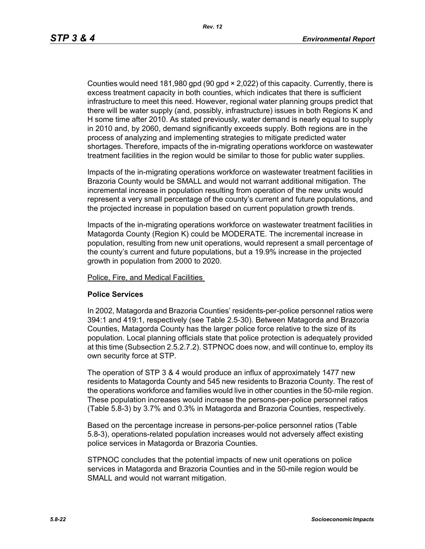Counties would need 181,980 gpd (90 gpd × 2,022) of this capacity. Currently, there is excess treatment capacity in both counties, which indicates that there is sufficient infrastructure to meet this need. However, regional water planning groups predict that there will be water supply (and, possibly, infrastructure) issues in both Regions K and H some time after 2010. As stated previously, water demand is nearly equal to supply in 2010 and, by 2060, demand significantly exceeds supply. Both regions are in the process of analyzing and implementing strategies to mitigate predicted water shortages. Therefore, impacts of the in-migrating operations workforce on wastewater treatment facilities in the region would be similar to those for public water supplies.

Impacts of the in-migrating operations workforce on wastewater treatment facilities in Brazoria County would be SMALL and would not warrant additional mitigation. The incremental increase in population resulting from operation of the new units would represent a very small percentage of the county's current and future populations, and the projected increase in population based on current population growth trends.

Impacts of the in-migrating operations workforce on wastewater treatment facilities in Matagorda County (Region K) could be MODERATE. The incremental increase in population, resulting from new unit operations, would represent a small percentage of the county's current and future populations, but a 19.9% increase in the projected growth in population from 2000 to 2020.

Police, Fire, and Medical Facilities

#### **Police Services**

In 2002, Matagorda and Brazoria Counties' residents-per-police personnel ratios were 394:1 and 419:1, respectively (see Table 2.5-30). Between Matagorda and Brazoria Counties, Matagorda County has the larger police force relative to the size of its population. Local planning officials state that police protection is adequately provided at this time (Subsection 2.5.2.7.2). STPNOC does now, and will continue to, employ its own security force at STP.

The operation of STP 3 & 4 would produce an influx of approximately 1477 new residents to Matagorda County and 545 new residents to Brazoria County. The rest of the operations workforce and families would live in other counties in the 50-mile region. These population increases would increase the persons-per-police personnel ratios (Table 5.8-3) by 3.7% and 0.3% in Matagorda and Brazoria Counties, respectively.

Based on the percentage increase in persons-per-police personnel ratios (Table 5.8-3), operations-related population increases would not adversely affect existing police services in Matagorda or Brazoria Counties.

STPNOC concludes that the potential impacts of new unit operations on police services in Matagorda and Brazoria Counties and in the 50-mile region would be SMALL and would not warrant mitigation.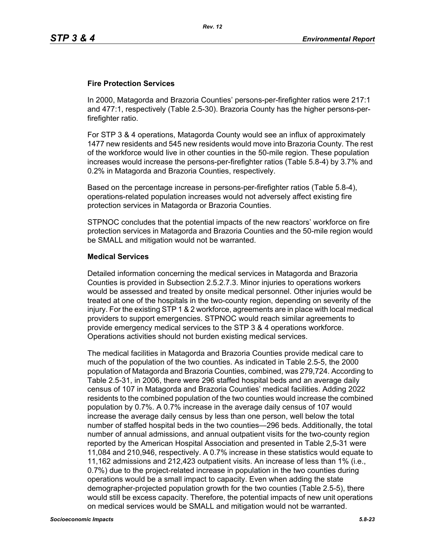### **Fire Protection Services**

In 2000, Matagorda and Brazoria Counties' persons-per-firefighter ratios were 217:1 and 477:1, respectively (Table 2.5-30). Brazoria County has the higher persons-perfirefighter ratio.

For STP 3 & 4 operations, Matagorda County would see an influx of approximately 1477 new residents and 545 new residents would move into Brazoria County. The rest of the workforce would live in other counties in the 50-mile region. These population increases would increase the persons-per-firefighter ratios (Table 5.8-4) by 3.7% and 0.2% in Matagorda and Brazoria Counties, respectively.

Based on the percentage increase in persons-per-firefighter ratios (Table 5.8-4), operations-related population increases would not adversely affect existing fire protection services in Matagorda or Brazoria Counties.

STPNOC concludes that the potential impacts of the new reactors' workforce on fire protection services in Matagorda and Brazoria Counties and the 50-mile region would be SMALL and mitigation would not be warranted.

#### **Medical Services**

Detailed information concerning the medical services in Matagorda and Brazoria Counties is provided in Subsection 2.5.2.7.3. Minor injuries to operations workers would be assessed and treated by onsite medical personnel. Other injuries would be treated at one of the hospitals in the two-county region, depending on severity of the injury. For the existing STP 1 & 2 workforce, agreements are in place with local medical providers to support emergencies. STPNOC would reach similar agreements to provide emergency medical services to the STP 3 & 4 operations workforce. Operations activities should not burden existing medical services.

The medical facilities in Matagorda and Brazoria Counties provide medical care to much of the population of the two counties. As indicated in Table 2.5-5, the 2000 population of Matagorda and Brazoria Counties, combined, was 279,724. According to Table 2.5-31, in 2006, there were 296 staffed hospital beds and an average daily census of 107 in Matagorda and Brazoria Counties' medical facilities. Adding 2022 residents to the combined population of the two counties would increase the combined population by 0.7%. A 0.7% increase in the average daily census of 107 would increase the average daily census by less than one person, well below the total number of staffed hospital beds in the two counties—296 beds. Additionally, the total number of annual admissions, and annual outpatient visits for the two-county region reported by the American Hospital Association and presented in Table 2,5-31 were 11,084 and 210,946, respectively. A 0.7% increase in these statistics would equate to 11,162 admissions and 212,423 outpatient visits. An increase of less than 1% (i.e., 0.7%) due to the project-related increase in population in the two counties during operations would be a small impact to capacity. Even when adding the state demographer-projected population growth for the two counties (Table 2.5-5), there would still be excess capacity. Therefore, the potential impacts of new unit operations on medical services would be SMALL and mitigation would not be warranted.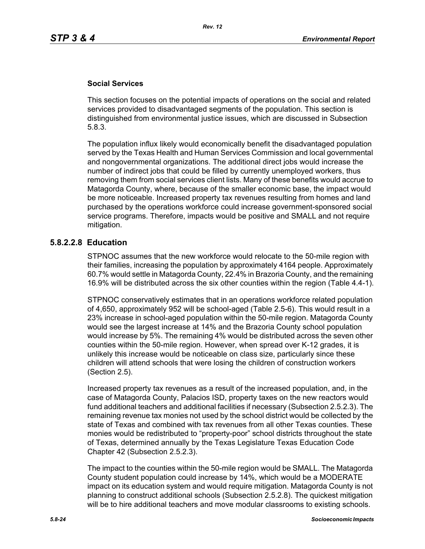### **Social Services**

This section focuses on the potential impacts of operations on the social and related services provided to disadvantaged segments of the population. This section is distinguished from environmental justice issues, which are discussed in Subsection 5.8.3.

The population influx likely would economically benefit the disadvantaged population served by the Texas Health and Human Services Commission and local governmental and nongovernmental organizations. The additional direct jobs would increase the number of indirect jobs that could be filled by currently unemployed workers, thus removing them from social services client lists. Many of these benefits would accrue to Matagorda County, where, because of the smaller economic base, the impact would be more noticeable. Increased property tax revenues resulting from homes and land purchased by the operations workforce could increase government-sponsored social service programs. Therefore, impacts would be positive and SMALL and not require mitigation.

## **5.8.2.2.8 Education**

STPNOC assumes that the new workforce would relocate to the 50-mile region with their families, increasing the population by approximately 4164 people. Approximately 60.7% would settle in Matagorda County, 22.4% in Brazoria County, and the remaining 16.9% will be distributed across the six other counties within the region (Table 4.4-1).

STPNOC conservatively estimates that in an operations workforce related population of 4,650, approximately 952 will be school-aged (Table 2.5-6). This would result in a 23% increase in school-aged population within the 50-mile region. Matagorda County would see the largest increase at 14% and the Brazoria County school population would increase by 5%. The remaining 4% would be distributed across the seven other counties within the 50-mile region. However, when spread over K-12 grades, it is unlikely this increase would be noticeable on class size, particularly since these children will attend schools that were losing the children of construction workers (Section 2.5).

Increased property tax revenues as a result of the increased population, and, in the case of Matagorda County, Palacios ISD, property taxes on the new reactors would fund additional teachers and additional facilities if necessary (Subsection 2.5.2.3). The remaining revenue tax monies not used by the school district would be collected by the state of Texas and combined with tax revenues from all other Texas counties. These monies would be redistributed to "property-poor" school districts throughout the state of Texas, determined annually by the Texas Legislature Texas Education Code Chapter 42 (Subsection 2.5.2.3).

The impact to the counties within the 50-mile region would be SMALL. The Matagorda County student population could increase by 14%, which would be a MODERATE impact on its education system and would require mitigation. Matagorda County is not planning to construct additional schools (Subsection 2.5.2.8). The quickest mitigation will be to hire additional teachers and move modular classrooms to existing schools.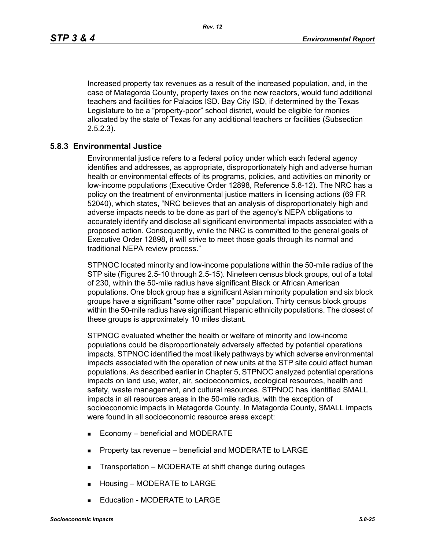Increased property tax revenues as a result of the increased population, and, in the case of Matagorda County, property taxes on the new reactors, would fund additional teachers and facilities for Palacios ISD. Bay City ISD, if determined by the Texas Legislature to be a "property-poor" school district, would be eligible for monies allocated by the state of Texas for any additional teachers or facilities (Subsection 2.5.2.3).

### **5.8.3 Environmental Justice**

Environmental justice refers to a federal policy under which each federal agency identifies and addresses, as appropriate, disproportionately high and adverse human health or environmental effects of its programs, policies, and activities on minority or low-income populations (Executive Order 12898, Reference 5.8-12). The NRC has a policy on the treatment of environmental justice matters in licensing actions (69 FR 52040), which states, "NRC believes that an analysis of disproportionately high and adverse impacts needs to be done as part of the agency's NEPA obligations to accurately identify and disclose all significant environmental impacts associated with a proposed action. Consequently, while the NRC is committed to the general goals of Executive Order 12898, it will strive to meet those goals through its normal and traditional NEPA review process."

STPNOC located minority and low-income populations within the 50-mile radius of the STP site (Figures 2.5-10 through 2.5-15). Nineteen census block groups, out of a total of 230, within the 50-mile radius have significant Black or African American populations. One block group has a significant Asian minority population and six block groups have a significant "some other race" population. Thirty census block groups within the 50-mile radius have significant Hispanic ethnicity populations. The closest of these groups is approximately 10 miles distant.

STPNOC evaluated whether the health or welfare of minority and low-income populations could be disproportionately adversely affected by potential operations impacts. STPNOC identified the most likely pathways by which adverse environmental impacts associated with the operation of new units at the STP site could affect human populations. As described earlier in Chapter 5, STPNOC analyzed potential operations impacts on land use, water, air, socioeconomics, ecological resources, health and safety, waste management, and cultural resources. STPNOC has identified SMALL impacts in all resources areas in the 50-mile radius, with the exception of socioeconomic impacts in Matagorda County. In Matagorda County, SMALL impacts were found in all socioeconomic resource areas except:

- Economy beneficial and MODERATE
- **Property tax revenue beneficial and MODERATE to LARGE**
- **Transportation MODERATE at shift change during outages**
- Housing MODERATE to LARGE
- Education MODERATE to LARGE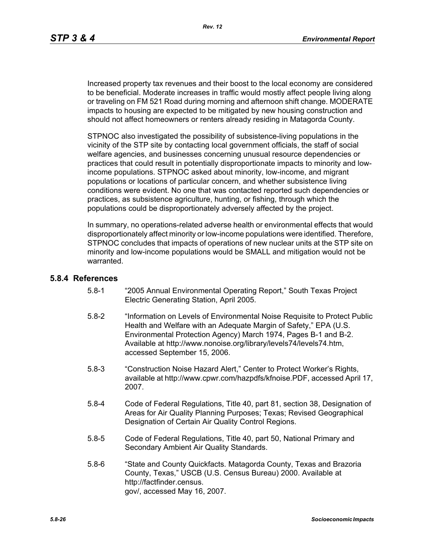Increased property tax revenues and their boost to the local economy are considered to be beneficial. Moderate increases in traffic would mostly affect people living along or traveling on FM 521 Road during morning and afternoon shift change. MODERATE impacts to housing are expected to be mitigated by new housing construction and should not affect homeowners or renters already residing in Matagorda County.

STPNOC also investigated the possibility of subsistence-living populations in the vicinity of the STP site by contacting local government officials, the staff of social welfare agencies, and businesses concerning unusual resource dependencies or practices that could result in potentially disproportionate impacts to minority and lowincome populations. STPNOC asked about minority, low-income, and migrant populations or locations of particular concern, and whether subsistence living conditions were evident. No one that was contacted reported such dependencies or practices, as subsistence agriculture, hunting, or fishing, through which the populations could be disproportionately adversely affected by the project.

In summary, no operations-related adverse health or environmental effects that would disproportionately affect minority or low-income populations were identified. Therefore, STPNOC concludes that impacts of operations of new nuclear units at the STP site on minority and low-income populations would be SMALL and mitigation would not be warranted.

#### **5.8.4 References**

- 5.8-1 "2005 Annual Environmental Operating Report," South Texas Project Electric Generating Station, April 2005.
- 5.8-2 "Information on Levels of Environmental Noise Requisite to Protect Public Health and Welfare with an Adequate Margin of Safety," EPA (U.S. Environmental Protection Agency) March 1974, Pages B-1 and B-2. Available at http://www.nonoise.org/library/levels74/levels74.htm, accessed September 15, 2006.
- 5.8-3 "Construction Noise Hazard Alert," Center to Protect Worker's Rights, available at http://www.cpwr.com/hazpdfs/kfnoise.PDF, accessed April 17, 2007.
- 5.8-4 Code of Federal Regulations, Title 40, part 81, section 38, Designation of Areas for Air Quality Planning Purposes; Texas; Revised Geographical Designation of Certain Air Quality Control Regions.
- 5.8-5 Code of Federal Regulations, Title 40, part 50, National Primary and Secondary Ambient Air Quality Standards.
- 5.8-6 "State and County Quickfacts. Matagorda County, Texas and Brazoria County, Texas," USCB (U.S. Census Bureau) 2000. Available at http://factfinder.census. gov/, accessed May 16, 2007.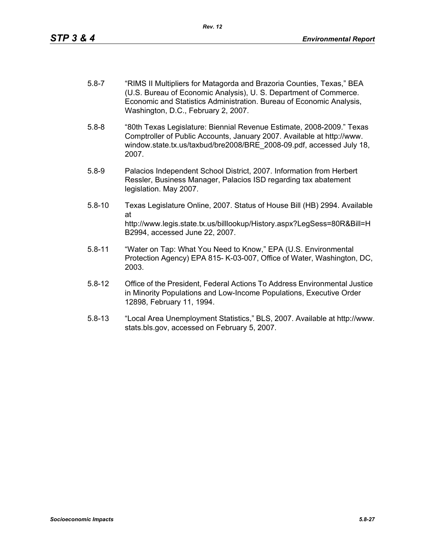- 5.8-7 "RIMS II Multipliers for Matagorda and Brazoria Counties, Texas," BEA (U.S. Bureau of Economic Analysis), U. S. Department of Commerce. Economic and Statistics Administration. Bureau of Economic Analysis, Washington, D.C., February 2, 2007.
- 5.8-8 "80th Texas Legislature: Biennial Revenue Estimate, 2008-2009." Texas Comptroller of Public Accounts, January 2007. Available at http://www. window.state.tx.us/taxbud/bre2008/BRE\_2008-09.pdf, accessed July 18, 2007.
- 5.8-9 Palacios Independent School District, 2007. Information from Herbert Ressler, Business Manager, Palacios ISD regarding tax abatement legislation. May 2007.
- 5.8-10 Texas Legislature Online, 2007. Status of House Bill (HB) 2994. Available at http://www.legis.state.tx.us/billlookup/History.aspx?LegSess=80R&Bill=H B2994, accessed June 22, 2007.
- 5.8-11 "Water on Tap: What You Need to Know," EPA (U.S. Environmental Protection Agency) EPA 815- K-03-007, Office of Water, Washington, DC, 2003.
- 5.8-12 Office of the President, Federal Actions To Address Environmental Justice in Minority Populations and Low-Income Populations, Executive Order 12898, February 11, 1994.
- 5.8-13 "Local Area Unemployment Statistics," BLS, 2007. Available at http://www. stats.bls.gov, accessed on February 5, 2007.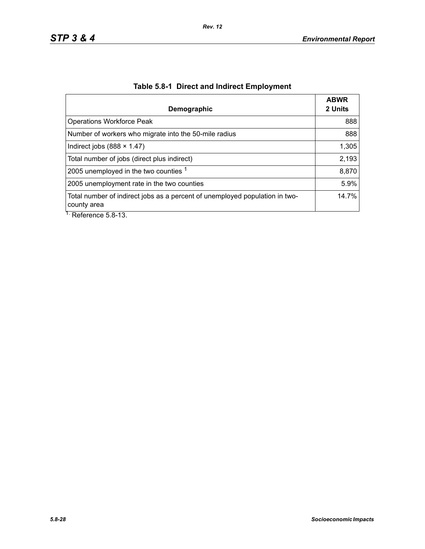| Demographic                                                                                                          | <b>ABWR</b><br>2 Units |
|----------------------------------------------------------------------------------------------------------------------|------------------------|
| <b>Operations Workforce Peak</b>                                                                                     | 888                    |
| Number of workers who migrate into the 50-mile radius                                                                | 888                    |
| Indirect jobs $(888 \times 1.47)$                                                                                    | 1,305                  |
| Total number of jobs (direct plus indirect)                                                                          | 2,193                  |
| 2005 unemployed in the two counties 1                                                                                | 8,870                  |
| 2005 unemployment rate in the two counties                                                                           | 5.9%                   |
| Total number of indirect jobs as a percent of unemployed population in two-<br>county area<br>$L$ Deference $E$ 0.42 | 14.7%                  |

# **Table 5.8-1 Direct and Indirect Employment**

Reference 5.8-13.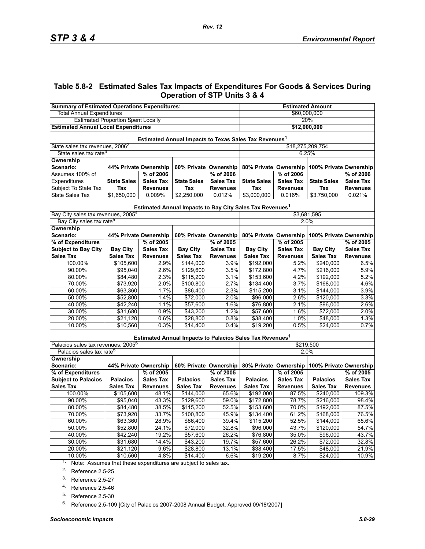# **Table 5.8-2 Estimated Sales Tax Impacts of Expenditures For Goods & Services During Operation of STP Units 3 & 4**

| <b>Summary of Estimated Operations Expenditures:</b>                           |                       |                  |                       | <b>Estimated Amount</b> |                                                                      |                  |                                              |                  |  |
|--------------------------------------------------------------------------------|-----------------------|------------------|-----------------------|-------------------------|----------------------------------------------------------------------|------------------|----------------------------------------------|------------------|--|
| <b>Total Annual Expenditures</b>                                               |                       |                  |                       | \$60,000,000            |                                                                      |                  |                                              |                  |  |
| <b>Estimated Proportion Spent Locally</b>                                      |                       |                  |                       | 20%                     |                                                                      |                  |                                              |                  |  |
| <b>Estimated Annual Local Expenditures</b>                                     |                       |                  |                       | \$12,000,000            |                                                                      |                  |                                              |                  |  |
| Estimated Annual Impacts to Texas Sales Tax Revenues <sup>1</sup>              |                       |                  |                       |                         |                                                                      |                  |                                              |                  |  |
| State sales tax revenues, 2006 <sup>2</sup>                                    |                       |                  |                       |                         | \$18,275,209,754                                                     |                  |                                              |                  |  |
| State sales tax rate <sup>3</sup>                                              |                       |                  |                       |                         |                                                                      | 6.25%            |                                              |                  |  |
| Ownership                                                                      |                       |                  |                       |                         |                                                                      |                  |                                              |                  |  |
| Scenario:                                                                      | 44% Private Ownership |                  | 60% Private Ownership |                         | 80% Private Ownership                                                |                  | 100% Private Ownership                       |                  |  |
| Assumes 100% of                                                                |                       | % of 2006        |                       | % of 2006               |                                                                      | % of 2006        |                                              | % of 2006        |  |
| Expenditures                                                                   | <b>State Sales</b>    | <b>Sales Tax</b> | <b>State Sales</b>    | <b>Sales Tax</b>        | <b>State Sales</b>                                                   | <b>Sales Tax</b> | <b>State Sales</b>                           | <b>Sales Tax</b> |  |
| Subject To State Tax                                                           | Tax                   | <b>Revenues</b>  | Tax                   | <b>Revenues</b>         | Tax                                                                  | <b>Revenues</b>  | Tax                                          | <b>Revenues</b>  |  |
| State Sales Tax                                                                | \$1,650,000           | 0.009%           | \$2,250,000           | 0.012%                  | \$3,000,000                                                          | 0.016%           | \$3,750,000                                  | 0.021%           |  |
|                                                                                |                       |                  |                       |                         | Estimated Annual Impacts to Bay City Sales Tax Revenues <sup>1</sup> |                  |                                              |                  |  |
| Bay City sales tax revenues, 2005 <sup>4</sup>                                 |                       |                  |                       |                         |                                                                      | \$3,681,595      |                                              |                  |  |
| Bay City sales tax rate <sup>5</sup>                                           |                       |                  |                       |                         |                                                                      | 2.0%             |                                              |                  |  |
| Ownership                                                                      |                       |                  |                       |                         |                                                                      |                  |                                              |                  |  |
| Scenario:                                                                      | 44% Private Ownership |                  | 60% Private Ownership |                         |                                                                      |                  | 80% Private Ownership 100% Private Ownership |                  |  |
| % of Expenditures                                                              |                       | % of 2005        |                       | % of 2005               |                                                                      | % of 2005        |                                              | % of 2005        |  |
| <b>Subject to Bay City</b>                                                     | <b>Bay City</b>       | <b>Sales Tax</b> | <b>Bay City</b>       | <b>Sales Tax</b>        | <b>Bay City</b>                                                      | <b>Sales Tax</b> | <b>Bay City</b>                              | <b>Sales Tax</b> |  |
| <b>Sales Tax</b>                                                               | <b>Sales Tax</b>      | <b>Revenues</b>  | <b>Sales Tax</b>      | <b>Revenues</b>         | <b>Sales Tax</b>                                                     | <b>Revenues</b>  | <b>Sales Tax</b>                             | <b>Revenues</b>  |  |
| 100.00%                                                                        | \$105,600             | 2.9%             | \$144,000             | 3.9%                    | \$192,000                                                            | 5.2%             | \$240,000                                    | 6.5%             |  |
| 90.00%                                                                         | \$95,040              | 2.6%             | \$129,600             | 3.5%                    | \$172,800                                                            | 4.7%             | \$216,000                                    | 5.9%             |  |
| 80.00%                                                                         | \$84,480              | 2.3%             | \$115,200             | 3.1%                    | \$153,600                                                            | 4.2%             | \$192,000                                    | 5.2%             |  |
| 70.00%                                                                         | \$73,920              | 2.0%             | \$100,800             | 2.7%                    | \$134,400                                                            | 3.7%             | \$168,000                                    | 4.6%             |  |
| 60.00%                                                                         | \$63,360              | 1.7%             | \$86,400              | 2.3%                    | \$115,200                                                            | 3.1%             | \$144,000                                    | 3.9%             |  |
| 50.00%                                                                         | \$52,800              | 1.4%             | \$72,000              | 2.0%                    | \$96,000                                                             | 2.6%             | \$120,000                                    | 3.3%             |  |
| 40.00%                                                                         | \$42,240              | 1.1%             | \$57,600              | 1.6%                    | \$76,800                                                             | 2.1%             | \$96,000                                     | 2.6%             |  |
| 30.00%                                                                         | \$31,680              | 0.9%             | \$43,200              | 1.2%                    | \$57,600                                                             | 1.6%             | \$72,000                                     | 2.0%             |  |
| 20.00%                                                                         | \$21,120              | 0.6%             | \$28,800              | 0.8%                    | \$38,400                                                             | 1.0%             | \$48,000                                     | 1.3%             |  |
| 10.00%                                                                         | \$10,560              | 0.3%             | \$14,400              | 0.4%                    | \$19,200                                                             | 0.5%             | \$24,000                                     | 0.7%             |  |
|                                                                                |                       |                  |                       |                         | Estimated Annual Impacts to Palacios Sales Tax Revenues <sup>1</sup> |                  |                                              |                  |  |
| Palacios sales tax revenues, 2005 <sup>6</sup>                                 |                       |                  |                       |                         | \$219,500                                                            |                  |                                              |                  |  |
| Palacios sales tax rate <sup>5</sup>                                           |                       |                  |                       |                         |                                                                      | 2.0%             |                                              |                  |  |
| Ownership                                                                      |                       |                  |                       |                         |                                                                      |                  |                                              |                  |  |
| Scenario:                                                                      | 44% Private Ownership |                  | 60% Private Ownership |                         | 80% Private Ownership                                                |                  | 100% Private Ownership                       |                  |  |
| % of Expenditures                                                              |                       | % of 2005        |                       | % of 2005               |                                                                      | % of 2005        |                                              | % of 2005        |  |
| <b>Subject to Palacios</b>                                                     | <b>Palacios</b>       | <b>Sales Tax</b> | <b>Palacios</b>       | <b>Sales Tax</b>        | <b>Palacios</b>                                                      | <b>Sales Tax</b> | <b>Palacios</b>                              | <b>Sales Tax</b> |  |
| <b>Sales Tax</b>                                                               | <b>Sales Tax</b>      | <b>Revenues</b>  | <b>Sales Tax</b>      | <b>Revenues</b>         | <b>Sales Tax</b>                                                     | <b>Revenues</b>  | <b>Sales Tax</b>                             | <b>Revenues</b>  |  |
| 100.00%                                                                        | \$105,600             | 48.1%            | \$144,000             | 65.6%                   | \$192,000                                                            | 87.5%            | \$240,000                                    | 109.3%           |  |
| 90.00%                                                                         | \$95,040              | 43.3%            | \$129,600             | 59.0%                   | \$172,800                                                            | 78.7%            | \$216,000                                    | 98.4%            |  |
| 80.00%                                                                         | \$84,480              | 38.5%            | \$115,200             | 52.5%                   | \$153,600                                                            | 70.0%            | \$192,000                                    | 87.5%            |  |
| 70.00%                                                                         | \$73,920              | 33.7%            | \$100,800             | 45.9%                   | \$134,400                                                            | 61.2%            | \$168,000                                    | 76.5%            |  |
| 60.00%                                                                         | \$63,360              | 28.9%            | \$86,400              | 39.4%                   | \$115,200                                                            | 52.5%            | \$144,000                                    | 65.6%            |  |
| 50.00%                                                                         | \$52,800              | 24.1%            | \$72,000              | 32.8%                   | \$96,000                                                             | 43.7%            | \$120,000                                    | 54.7%            |  |
| 40.00%                                                                         | \$42,240              | 19.2%            | \$57,600              | 26.2%                   | \$76,800                                                             | 35.0%            | \$96,000                                     | 43.7%            |  |
| 30.00%                                                                         | \$31,680              | 14.4%            | \$43,200              | 19.7%                   | \$57,600                                                             | 26.2%            | \$72,000                                     | 32.8%            |  |
| 20.00%                                                                         | \$21,120              | 9.6%             | \$28,800              | 13.1%                   | \$38,400                                                             | 17.5%            | \$48,000                                     | 21.9%            |  |
| 10.00%<br>$1.$ Note: Assumes that these expenditures are subject to sales tax. | \$10,560              | 4.8%             | \$14,400              | 6.6%                    | \$19,200                                                             | 8.7%             | \$24,000                                     | 10.9%            |  |

Note: Assumes that these expenditures are subject to sales tax.

<span id="page-28-0"></span>2. Reference 2.5-25

3. Reference 2.5-27

4. Reference 2.5-46

<span id="page-28-1"></span>5. Reference 2.5-30

<sup>6.</sup> Reference 2.5-109 [City of Palacios 2007-2008 Annual Budget, Approved 09/18/2007]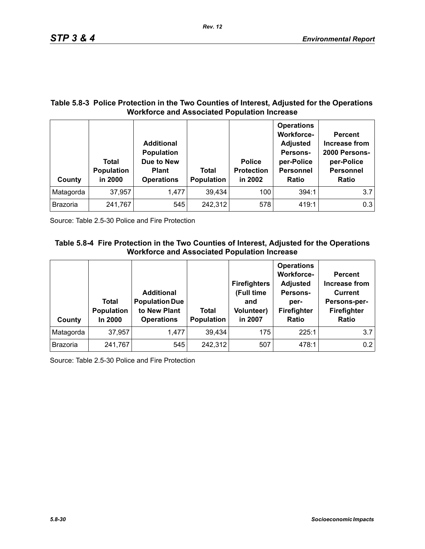### **Table 5.8-3 Police Protection in the Two Counties of Interest, Adjusted for the Operations Workforce and Associated Population Increase**

| County          | Total<br><b>Population</b><br>in 2000 | <b>Additional</b><br><b>Population</b><br>Due to New<br><b>Plant</b><br><b>Operations</b> | <b>Total</b><br><b>Population</b> | <b>Police</b><br><b>Protection</b><br>in 2002 | <b>Operations</b><br><b>Workforce-</b><br><b>Adjusted</b><br>Persons-<br>per-Police<br><b>Personnel</b><br>Ratio | <b>Percent</b><br>Increase from<br>2000 Persons-<br>per-Police<br><b>Personnel</b><br><b>Ratio</b> |
|-----------------|---------------------------------------|-------------------------------------------------------------------------------------------|-----------------------------------|-----------------------------------------------|------------------------------------------------------------------------------------------------------------------|----------------------------------------------------------------------------------------------------|
| Matagorda       | 37,957                                | 1,477                                                                                     | 39,434                            | 100                                           | 394:1                                                                                                            | 3.7                                                                                                |
| <b>Brazoria</b> | 241,767                               | 545                                                                                       | 242,312                           | 578                                           | 419:1                                                                                                            | 0.3                                                                                                |

Source: Table 2.5-30 Police and Fire Protection

# **Table 5.8-4 Fire Protection in the Two Counties of Interest, Adjusted for the Operations Workforce and Associated Population Increase**

| County          | Total<br>Population<br>In 2000 | <b>Additional</b><br><b>Population Due</b><br>to New Plant<br><b>Operations</b> | Total<br>Population | <b>Firefighters</b><br>(Full time<br>and<br><b>Volunteer)</b><br>in 2007 | <b>Operations</b><br><b>Workforce-</b><br><b>Adjusted</b><br>Persons-<br>per-<br>Firefighter<br>Ratio | <b>Percent</b><br><b>Increase from</b><br><b>Current</b><br>Persons-per-<br>Firefighter<br><b>Ratio</b> |
|-----------------|--------------------------------|---------------------------------------------------------------------------------|---------------------|--------------------------------------------------------------------------|-------------------------------------------------------------------------------------------------------|---------------------------------------------------------------------------------------------------------|
| Matagorda       | 37,957                         | 1,477                                                                           | 39,434              | 175                                                                      | 225:1                                                                                                 | 3.7                                                                                                     |
| <b>Brazoria</b> | 241,767                        | 545                                                                             | 242,312             | 507                                                                      | 478:1                                                                                                 | 0.2                                                                                                     |

Source: Table 2.5-30 Police and Fire Protection